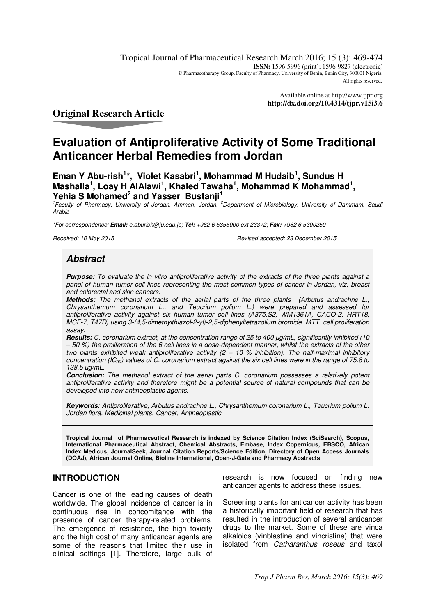Tropical Journal of Pharmaceutical Research March 2016; 15 (3): 469-474 **ISSN:** 1596-5996 (print); 1596-9827 (electronic) © Pharmacotherapy Group, Faculty of Pharmacy, University of Benin, Benin City, 300001 Nigeria. All rights reserved.

> Available online at <http://www.tjpr.org> **<http://dx.doi.org/10.4314/tjpr.v15i3.6>**

# **Original Research Article**

# **Evaluation of Antiproliferative Activity of Some Traditional Anticancer Herbal Remedies from Jordan**

**Eman Y Abu-rish<sup>1</sup> \*, Violet Kasabri<sup>1</sup> , Mohammad M Hudaib<sup>1</sup> , Sundus H Mashalla<sup>1</sup> , Loay H AlAlawi<sup>1</sup> , Khaled Tawaha<sup>1</sup> , Mohammad K Mohammad<sup>1</sup> , Yehia S Mohamed<sup>2</sup> and Yasser Bustanji<sup>1</sup>**

<sup>1</sup> Faculty of Pharmacy, University of Jordan, Amman, Jordan, <sup>2</sup> Department of Microbiology, University of Dammam, Saudi Arabia

\*For correspondence: **Email:** [e.aburish@ju.edu.jo;](mailto:e.aburish@ju.edu.jo;) **Tel:** +962 6 5355000 ext 23372; **Fax:** +962 6 5300250

Received: 10 May 2015 Revised accepted: 23 December 2015

# **Abstract**

**Purpose:** To evaluate the in vitro antiproliferative activity of the extracts of the three plants against a panel of human tumor cell lines representing the most common types of cancer in Jordan, viz, breast and colorectal and skin cancers.

**Methods:** The methanol extracts of the aerial parts of the three plants (Arbutus andrachne L., Chrysanthemum coronarium L., and Teucrium polium L.) were prepared and assessed for antiproliferative activity against six human tumor cell lines (A375.S2, WM1361A, CACO-2, HRT18, MCF-7, T47D) using 3-(4,5-dimethylthiazol-2-yl)-2,5-diphenyltetrazolium bromide MTT cell proliferation assay.

**Results:** C. coronarium extract, at the concentration range of 25 to 400 µg/mL, significantly inhibited (10 – 50 %) the proliferation of the 6 cell lines in a dose-dependent manner, whilst the extracts of the other two plants exhibited weak antiproliferative activity  $(2 - 10 \%)$  inhibition). The half-maximal inhibitory concentration (IC<sub>50</sub>) values of C. coronarium extract against the six cell lines were in the range of 75.8 to 138.5 µg/mL.

**Conclusion:** The methanol extract of the aerial parts C. coronarium possesses a relatively potent antiproliferative activity and therefore might be a potential source of natural compounds that can be developed into new antineoplastic agents.

**Keywords:** Antiproliferative, Arbutus andrachne L., Chrysanthemum coronarium L., Teucrium polium L. Jordan flora, Medicinal plants, Cancer, Antineoplastic

**Tropical Journal of Pharmaceutical Research is indexed by Science Citation Index (SciSearch), Scopus, International Pharmaceutical Abstract, Chemical Abstracts, Embase, Index Copernicus, EBSCO, African Index Medicus, JournalSeek, Journal Citation Reports/Science Edition, Directory of Open Access Journals (DOAJ), African Journal Online, Bioline International, Open-J-Gate and Pharmacy Abstracts** 

# **INTRODUCTION**

Cancer is one of the leading causes of death worldwide. The global incidence of cancer is in continuous rise in concomitance with the presence of cancer therapy-related problems. The emergence of resistance, the high toxicity and the high cost of many anticancer agents are some of the reasons that limited their use in clinical settings [1]. Therefore, large bulk of

research is now focused on finding new anticancer agents to address these issues.

Screening plants for anticancer activity has been a historically important field of research that has resulted in the introduction of several anticancer drugs to the market. Some of these are vinca alkaloids (vinblastine and vincristine) that were isolated from Catharanthus roseus and taxol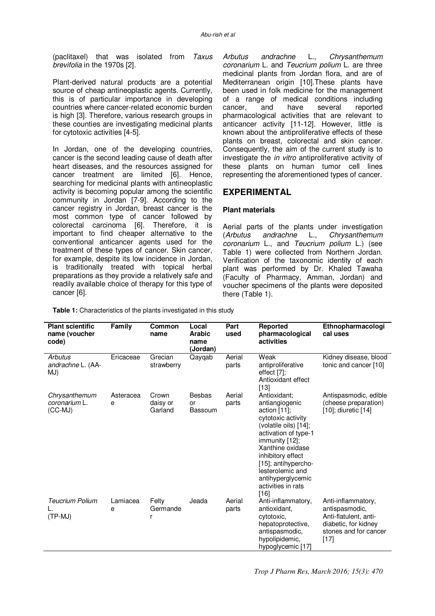(paclitaxel) that was isolated from Taxus brevifolia in the 1970s [2].

Plant-derived natural products are a potential source of cheap antineoplastic agents. Currently, this is of particular importance in developing countries where cancer-related economic burden is high [3]. Therefore, various research groups in these counties are investigating medicinal plants for cytotoxic activities [4-5].

In Jordan, one of the developing countries, cancer is the second leading cause of death after heart diseases, and the resources assigned for cancer treatment are limited [6]. Hence, searching for medicinal plants with antineoplastic activity is becoming popular among the scientific community in Jordan [7-9]. According to the cancer registry in Jordan, breast cancer is the most common type of cancer followed by colorectal carcinoma [6]. Therefore, it is important to find cheaper alternative to the conventional anticancer agents used for the treatment of these types of cancer. Skin cancer, for example, despite its low incidence in Jordan, is traditionally treated with topical herbal preparations as they provide a relatively safe and readily available choice of therapy for this type of cancer [6].

Arbutus andrachne L., Chrysanthemum coronarium L. and Teucrium polium L. are three medicinal plants from Jordan flora, and are of Mediterranean origin [10].These plants have been used in folk medicine for the management of a range of medical conditions including<br>cancer. and have several reported reported pharmacological activities that are relevant to anticancer activity [11-12]. However, little is known about the antiproliferative effects of these plants on breast, colorectal and skin cancer. Consequently, the aim of the current study is to investigate the in vitro antiproliferative activity of these plants on human tumor cell lines representing the aforementioned types of cancer.

# **EXPERIMENTAL**

### **Plant materials**

Aerial parts of the plants under investigation (Arbutus andrachne L., Chrysanthemum coronarium L., and Teucrium polium L.) (see Table 1) were collected from Northern Jordan. Verification of the taxonomic identity of each plant was performed by Dr. Khaled Tawaha (Faculty of Pharmacy, Amman, Jordan) and voucher specimens of the plants were deposited there (Table 1).

| <b>Plant scientific</b><br>name (voucher<br>code) | Family         | Common<br>name               | Local<br><b>Arabic</b><br>name<br>(Jordan) | Part<br>used    | Reported<br>pharmacological<br>activities                                                                                                                                                                                                                                           | Ethnopharmacologi<br>cal uses                                                                                            |
|---------------------------------------------------|----------------|------------------------------|--------------------------------------------|-----------------|-------------------------------------------------------------------------------------------------------------------------------------------------------------------------------------------------------------------------------------------------------------------------------------|--------------------------------------------------------------------------------------------------------------------------|
| <b>Arbutus</b><br>andrachne L. (AA-<br>MJ)        | Ericaceae      | Grecian<br>strawberry        | Qayqab                                     | Aerial<br>parts | Weak<br>antiproliferative<br>effect $[7]$ ;<br>Antioxidant effect<br>$[13]$                                                                                                                                                                                                         | Kidney disease, blood<br>tonic and cancer [10]                                                                           |
| Chrysanthemum<br>coronarium L.<br>$(CC-MJ)$       | Asteracea<br>е | Crown<br>daisy or<br>Garland | <b>Besbas</b><br>or<br>Bassoum             | Aerial<br>parts | Antioxidant:<br>antiangiogenic<br>action $[11]$ ;<br>cytotoxic activity<br>(volatile oils) [14];<br>activation of type-1<br>immunity [12];<br>Xanthine oxidase<br>inhibitory effect<br>[15]; antihypercho-<br>lesterolemic and<br>antihyperglycemic<br>activities in rats<br>$[16]$ | Antispasmodic, edible<br>(cheese preparation)<br>[10]; diuretic [14]                                                     |
| Teucrium Polium<br>$(TP-MJ)$                      | Lamiacea<br>e  | Felty<br>Germande<br>r       | Jeada                                      | Aerial<br>parts | Anti-inflammatory,<br>antioxidant,<br>cytotoxic.<br>hepatoprotective,<br>antispasmodic,<br>hypolipidemic,<br>hypoglycemic [17]                                                                                                                                                      | Anti-inflammatory,<br>antispasmodic,<br>Anti-flatulent, anti-<br>diabetic, for kidney<br>stones and for cancer<br>$[17]$ |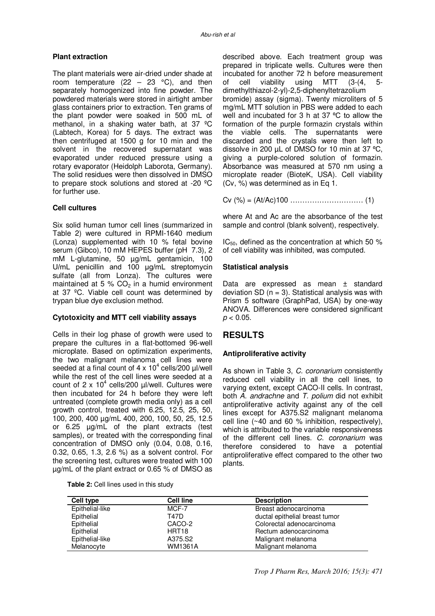### **Plant extraction**

The plant materials were air-dried under shade at room temperature (22 – 23  $^{\circ}$ C), and then separately homogenized into fine powder. The powdered materials were stored in airtight amber glass containers prior to extraction. Ten grams of the plant powder were soaked in 500 mL of methanol, in a shaking water bath, at 37 ºC (Labtech, Korea) for 5 days. The extract was then centrifuged at 1500 g for 10 min and the solvent in the recovered supernatant was evaporated under reduced pressure using a rotary evaporator (Heidolph Laborota, Germany). The solid residues were then dissolved in DMSO to prepare stock solutions and stored at -20 ºC for further use.

#### **Cell cultures**

Six solid human tumor cell lines (summarized in Table 2) were cultured in RPMI-1640 medium (Lonza) supplemented with 10 % fetal bovine serum (Gibco), 10 mM HEPES buffer (pH 7.3), 2 mM L-glutamine, 50 µg/mL gentamicin, 100 U/mL penicillin and 100 μg/mL streptomycin sulfate (all from Lonza). The cultures were maintained at 5 %  $CO<sub>2</sub>$  in a humid environment at 37 ºC. Viable cell count was determined by trypan blue dye exclusion method.

#### **Cytotoxicity and MTT cell viability assays**

Cells in their log phase of growth were used to prepare the cultures in a flat-bottomed 96-well microplate. Based on optimization experiments, the two malignant melanoma cell lines were seeded at a final count of  $4 \times 10^4$  cells/200 µl/well while the rest of the cell lines were seeded at a count of 2 x 10<sup>4</sup> cells/200  $\mu$ l/well. Cultures were then incubated for 24 h before they were left untreated (complete growth media only) as a cell growth control, treated with 6.25, 12.5, 25, 50, 100, 200, 400 µg/mL 400, 200, 100, 50, 25, 12.5 or 6.25 µg/mL of the plant extracts (test samples), or treated with the corresponding final concentration of DMSO only (0.04, 0.08, 0.16, 0.32, 0.65, 1.3, 2.6 %) as a solvent control. For the screening test, cultures were treated with 100 µg/mL of the plant extract or 0.65 % of DMSO as

described above. Each treatment group was prepared in triplicate wells. Cultures were then incubated for another 72 h before measurement of cell viability using MTT (3-(4, 5 dimethylthiazol-2-yl)-2,5-diphenyltetrazolium bromide) assay (sigma). Twenty microliters of 5 mg/mL MTT solution in PBS were added to each well and incubated for 3 h at 37 °C to allow the formation of the purple formazin crystals within the viable cells. The supernatants were discarded and the crystals were then left to dissolve in 200 µL of DMSO for 10 min at 37 °C, giving a purple-colored solution of formazin. Absorbance was measured at 570 nm using a microplate reader (BioteK, USA). Cell viability (Cv, %) was determined as in Eq 1.

Cv (%) = (At/Ac)100 ………………………… (1)

where At and Ac are the absorbance of the test sample and control (blank solvent), respectively.

 $IC_{50}$ , defined as the concentration at which 50 % of cell viability was inhibited, was computed.

#### **Statistical analysis**

Data are expressed as mean ± standard deviation SD  $(n = 3)$ . Statistical analysis was with Prism 5 software (GraphPad, USA) by one-way ANOVA. Differences were considered significant  $p < 0.05$ .

# **RESULTS**

### **Antiproliferative activity**

As shown in Table 3, C. coronarium consistently reduced cell viability in all the cell lines, to varying extent, except CACO-II cells. In contrast, both A. andrachne and T. polium did not exhibit antiproliferative activity against any of the cell lines except for A375.S2 malignant melanoma cell line  $(~40$  and 60 % inhibition, respectively). which is attributed to the variable responsiveness of the different cell lines. C. coronarium was therefore considered to have a potential antiproliferative effect compared to the other two plants.

| Table 2: Cell lines used in this study |
|----------------------------------------|
|----------------------------------------|

| Cell type       | <b>Cell line</b> | <b>Description</b>             |
|-----------------|------------------|--------------------------------|
| Epithelial-like | MCF-7            | Breast adenocarcinoma          |
| Epithelial      | T47D             | ductal epithelial breast tumor |
| Epithelial      | CACO-2           | Colorectal adenocarcinoma      |
| Epithelial      | HRT18            | Rectum adenocarcinoma          |
| Epithelial-like | A375.S2          | Malignant melanoma             |
| Melanocyte      | WM1361A          | Malignant melanoma             |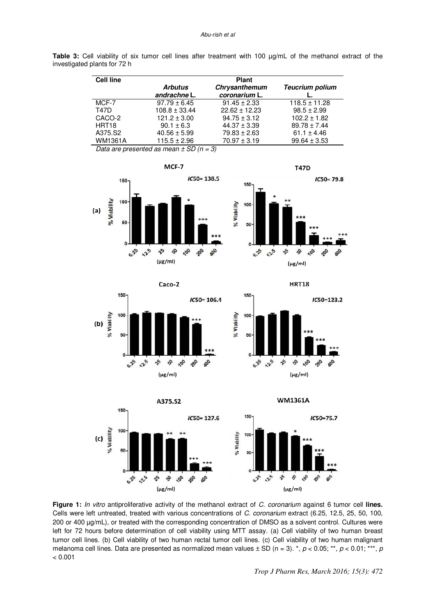Table 3: Cell viability of six tumor cell lines after treatment with 100 µg/mL of the methanol extract of the investigated plants for 72 h

| <b>Cell line</b> |                                | <b>Plant</b>                   |                        |
|------------------|--------------------------------|--------------------------------|------------------------|
|                  | <b>Arbutus</b><br>andrachne L. | Chrysanthemum<br>coronarium L. | <b>Teucrium polium</b> |
|                  |                                |                                |                        |
| MCF-7            | $97.79 \pm 6.45$               | $91.45 \pm 2.33$               | $118.5 \pm 11.28$      |
| <b>T47D</b>      | $108.8 \pm 33.44$              | $22.62 \pm 12.23$              | $98.5 \pm 2.99$        |
| CACO-2           | $121.2 \pm 3.00$               | $94.75 \pm 3.12$               | $102.2 \pm 1.82$       |
| HRT18            | $90.1 \pm 6.3$                 | $44.37 \pm 3.39$               | $89.78 \pm 7.44$       |
| A375.S2          | $40.56 \pm 5.99$               | $79.83 \pm 2.63$               | $61.1 \pm 4.46$        |
| <b>WM1361A</b>   | $115.5 \pm 2.96$               | $70.97 \pm 3.19$               | $99.64 \pm 3.53$       |

Data are presented as mean  $\pm$  SD (n = 3)









Figure 1: *In vitro* antiproliferative activity of the methanol extract of *C. coronarium* against 6 tumor cell lines. Cells were left untreated, treated with various concentrations of C. coronarium extract (6.25, 12.5, 25, 50, 100, 200 or 400 µg/mL), or treated with the corresponding concentration of DMSO as a solvent control. Cultures were left for 72 hours before determination of cell viability using MTT assay. (a) Cell viability of two human breast tumor cell lines. (b) Cell viability of two human rectal tumor cell lines. (c) Cell viability of two human malignant melanoma cell lines. Data are presented as normalized mean values  $\pm$  SD (n = 3). \*, p < 0.05; \*\*, p < 0.01; \*\*\*, p  $< 0.001$ 

*Trop J Pharm Res, March 2016; 15(3): 472* 

**HRT18**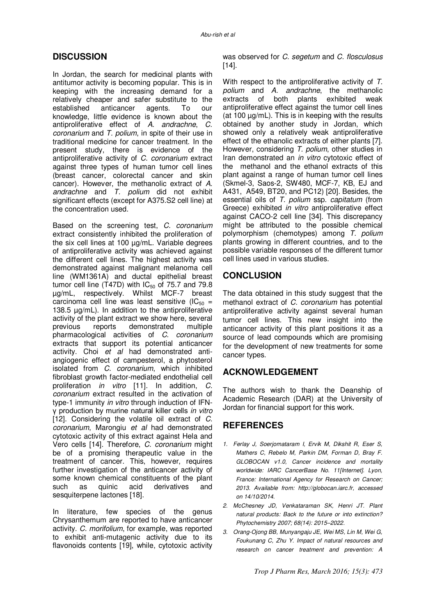# **DISCUSSION**

In Jordan, the search for medicinal plants with antitumor activity is becoming popular. This is in keeping with the increasing demand for a relatively cheaper and safer substitute to the<br>established anticancer agents. To our established anticancer agents. To our knowledge, little evidence is known about the antiproliferative effect of A. andrachne, C. coronarium and T. polium, in spite of their use in traditional medicine for cancer treatment. In the present study, there is evidence of the antiproliferative activity of C. coronarium extract against three types of human tumor cell lines (breast cancer, colorectal cancer and skin cancer). However, the methanolic extract of A. andrachne and T. polium did not exhibit significant effects (except for A375.S2 cell line) at the concentration used.

Based on the screening test, C. coronarium extract consistently inhibited the proliferation of the six cell lines at 100 µg/mL. Variable degrees of antiproliferative activity was achieved against the different cell lines. The highest activity was demonstrated against malignant melanoma cell line (WM1361A) and ductal epithelial breast tumor cell line (T47D) with  $IC_{50}$  of 75.7 and 79.8 µg/mL, respectively. Whilst MCF-7 breast carcinoma cell line was least sensitive (IC $_{50}$  = 138.5  $\mu$ g/mL). In addition to the antiproliferative activity of the plant extract we show here, several previous reports demonstrated multiple pharmacological activities of C. coronarium extracts that support its potential anticancer activity. Choi et al had demonstrated antiangiogenic effect of campesterol, a phytosterol isolated from C. coronarium, which inhibited fibroblast growth factor-mediated endothelial cell proliferation in vitro [11]. In addition, C. coronarium extract resulted in the activation of type-1 immunity in vitro through induction of IFNγ production by murine natural killer cells in vitro [12]. Considering the volatile oil extract of C. coronarium, Marongiu et al had demonstrated cytotoxic activity of this extract against Hela and Vero cells [14]. Therefore, C. coronarium might be of a promising therapeutic value in the treatment of cancer. This, however, requires further investigation of the anticancer activity of some known chemical constituents of the plant such as quinic acid derivatives and sesquiterpene lactones [18].

In literature, few species of the genus Chrysanthemum are reported to have anticancer activity. C. morifolium, for example, was reported to exhibit anti-mutagenic activity due to its flavonoids contents [19], while, cytotoxic activity

was observed for C. segetum and C. flosculosus [14].

With respect to the antiproliferative activity of T. polium and A. andrachne, the methanolic extracts of both plants exhibited weak antiproliferative effect against the tumor cell lines (at 100 µg/mL). This is in keeping with the results obtained by another study in Jordan, which showed only a relatively weak antiproliferative effect of the ethanolic extracts of either plants [7]. However, considering T. polium, other studies in Iran demonstrated an *in vitro* cytotoxic effect of the methanol and the ethanol extracts of this plant against a range of human tumor cell lines (Skmel-3, Saos-2, SW480, MCF-7, KB, EJ and A431, A549, BT20, and PC12) [20]. Besides, the essential oils of T. polium ssp. capitatum (from Greece) exhibited in vitro antiproliferative effect against CACO-2 cell line [34]. This discrepancy might be attributed to the possible chemical polymorphism (chemotypes) among T. polium plants growing in different countries, and to the possible variable responses of the different tumor cell lines used in various studies.

## **CONCLUSION**

The data obtained in this study suggest that the methanol extract of C. coronarium has potential antiproliferative activity against several human tumor cell lines. This new insight into the anticancer activity of this plant positions it as a source of lead compounds which are promising for the development of new treatments for some cancer types.

# **ACKNOWLEDGEMENT**

The authors wish to thank the Deanship of Academic Research (DAR) at the University of Jordan for financial support for this work.

### **REFERENCES**

- 1. Ferlay J, Soerjomataram I, Ervik M, Dikshit R, Eser S, Mathers C, Rebelo M, Parkin DM, Forman D, Bray F. GLOBOCAN v1.0, Cancer incidence and mortality worldwide: IARC CancerBase No. 11[Internet]. Lyon, France: International Agency for Research on Cancer; 2013. Available from: <http://globocan.iarc.fr,>accessed on 14/10/2014.
- 2. McChesney JD, Venkataraman SK, Henri JT. Plant natural products: Back to the future or into extinction? Phytochemistry 2007; 68(14): 2015–2022.
- 3. Orang-Ojong BB, Munyangaju JE, Wei MS, Lin M, Wei G, Foukunang C, Zhu Y. Impact of natural resources and research on cancer treatment and prevention: A